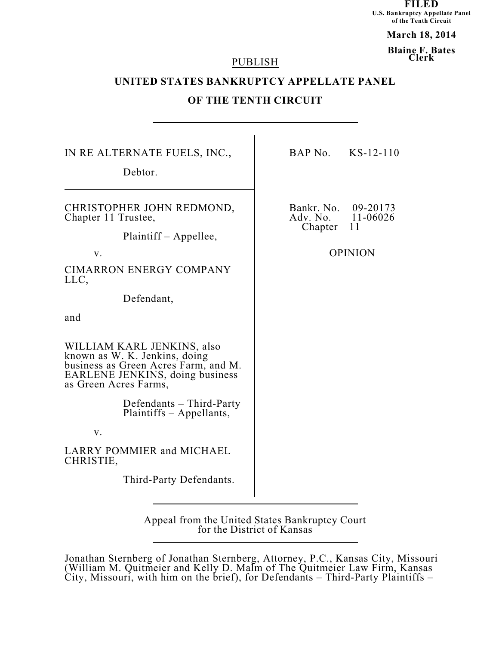**FILED U.S. Bankruptcy Appellate Panel of the Tenth Circuit**

**March 18, 2014**

**Blaine F. Bates Clerk**

#### PUBLISH

# **UNITED STATES BANKRUPTCY APPELLATE PANEL**

# **OF THE TENTH CIRCUIT**

| Debtor.                                                                                                                                                                                                                                                                                                                                                                                                                                                            | Bankr. No.          |                                              |
|--------------------------------------------------------------------------------------------------------------------------------------------------------------------------------------------------------------------------------------------------------------------------------------------------------------------------------------------------------------------------------------------------------------------------------------------------------------------|---------------------|----------------------------------------------|
|                                                                                                                                                                                                                                                                                                                                                                                                                                                                    |                     |                                              |
| CHRISTOPHER JOHN REDMOND,<br>Chapter 11 Trustee,<br>Plaintiff – Appellee,<br>V.<br><b>CIMARRON ENERGY COMPANY</b><br>LLC,<br>Defendant,<br>and<br>WILLIAM KARL JENKINS, also<br>known as W. K. Jenkins, doing<br>business as Green Acres Farm, and M.<br><b>EARLENE JENKINS, doing business</b><br>as Green Acres Farms,<br>Defendants – Third-Party<br>Plaintiffs – Appellants,<br>V.<br><b>LARRY POMMIER and MICHAEL</b><br>CHRISTIE,<br>Third-Party Defendants. | Adv. No.<br>Chapter | 09-20173<br>11-06026<br>11<br><b>OPINION</b> |

Appeal from the United States Bankruptcy Court for the District of Kansas

Jonathan Sternberg of Jonathan Sternberg, Attorney, P.C., Kansas City, Missouri (William M. Quitmeier and Kelly D. Malm of The Quitmeier Law Firm, Kansas City, Missouri, with him on the brief), for Defendants – Third-Party Plaintiffs –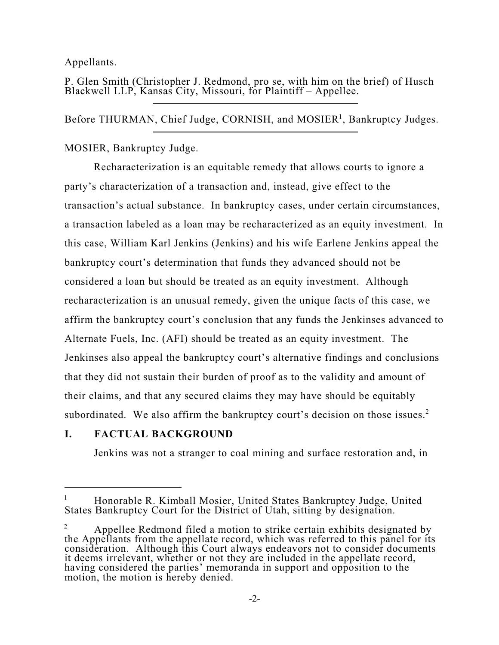Appellants.

P. Glen Smith (Christopher J. Redmond, pro se, with him on the brief) of Husch Blackwell LLP, Kansas City, Missouri, for Plaintiff – Appellee.

Before THURMAN, Chief Judge, CORNISH, and MOSIER<sup>1</sup>, Bankruptcy Judges.

MOSIER, Bankruptcy Judge.

Recharacterization is an equitable remedy that allows courts to ignore a party's characterization of a transaction and, instead, give effect to the transaction's actual substance. In bankruptcy cases, under certain circumstances, a transaction labeled as a loan may be recharacterized as an equity investment. In this case, William Karl Jenkins (Jenkins) and his wife Earlene Jenkins appeal the bankruptcy court's determination that funds they advanced should not be considered a loan but should be treated as an equity investment. Although recharacterization is an unusual remedy, given the unique facts of this case, we affirm the bankruptcy court's conclusion that any funds the Jenkinses advanced to Alternate Fuels, Inc. (AFI) should be treated as an equity investment. The Jenkinses also appeal the bankruptcy court's alternative findings and conclusions that they did not sustain their burden of proof as to the validity and amount of their claims, and that any secured claims they may have should be equitably subordinated. We also affirm the bankruptcy court's decision on those issues.<sup>2</sup>

# **I. FACTUAL BACKGROUND**

Jenkins was not a stranger to coal mining and surface restoration and, in

Honorable R. Kimball Mosier, United States Bankruptcy Judge, United 1 States Bankruptcy Court for the District of Utah, sitting by designation.

Appellee Redmond filed a motion to strike certain exhibits designated by 2 the Appellants from the appellate record, which was referred to this panel for its consideration. Although this Court always endeavors not to consider documents it deems irrelevant, whether or not they are included in the appellate record, having considered the parties' memoranda in support and opposition to the motion, the motion is hereby denied.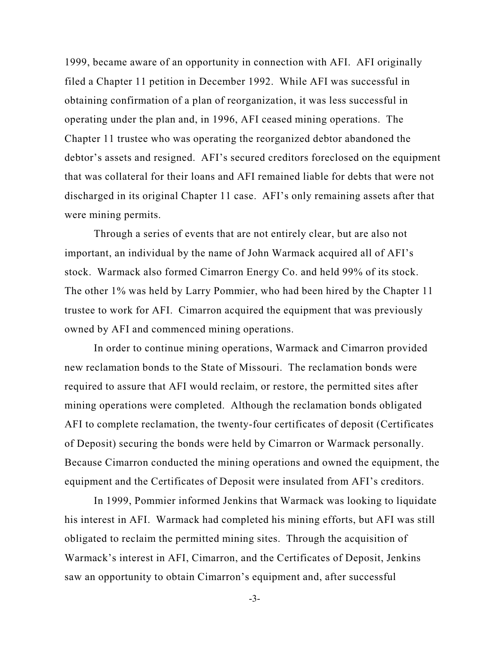1999, became aware of an opportunity in connection with AFI. AFI originally filed a Chapter 11 petition in December 1992. While AFI was successful in obtaining confirmation of a plan of reorganization, it was less successful in operating under the plan and, in 1996, AFI ceased mining operations. The Chapter 11 trustee who was operating the reorganized debtor abandoned the debtor's assets and resigned. AFI's secured creditors foreclosed on the equipment that was collateral for their loans and AFI remained liable for debts that were not discharged in its original Chapter 11 case. AFI's only remaining assets after that were mining permits.

Through a series of events that are not entirely clear, but are also not important, an individual by the name of John Warmack acquired all of AFI's stock. Warmack also formed Cimarron Energy Co. and held 99% of its stock. The other 1% was held by Larry Pommier, who had been hired by the Chapter 11 trustee to work for AFI. Cimarron acquired the equipment that was previously owned by AFI and commenced mining operations.

In order to continue mining operations, Warmack and Cimarron provided new reclamation bonds to the State of Missouri. The reclamation bonds were required to assure that AFI would reclaim, or restore, the permitted sites after mining operations were completed. Although the reclamation bonds obligated AFI to complete reclamation, the twenty-four certificates of deposit (Certificates of Deposit) securing the bonds were held by Cimarron or Warmack personally. Because Cimarron conducted the mining operations and owned the equipment, the equipment and the Certificates of Deposit were insulated from AFI's creditors.

In 1999, Pommier informed Jenkins that Warmack was looking to liquidate his interest in AFI. Warmack had completed his mining efforts, but AFI was still obligated to reclaim the permitted mining sites. Through the acquisition of Warmack's interest in AFI, Cimarron, and the Certificates of Deposit, Jenkins saw an opportunity to obtain Cimarron's equipment and, after successful

-3-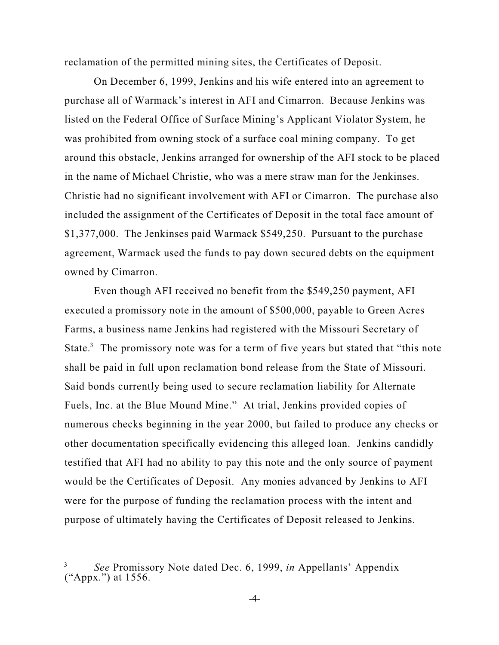reclamation of the permitted mining sites, the Certificates of Deposit.

On December 6, 1999, Jenkins and his wife entered into an agreement to purchase all of Warmack's interest in AFI and Cimarron. Because Jenkins was listed on the Federal Office of Surface Mining's Applicant Violator System, he was prohibited from owning stock of a surface coal mining company. To get around this obstacle, Jenkins arranged for ownership of the AFI stock to be placed in the name of Michael Christie, who was a mere straw man for the Jenkinses. Christie had no significant involvement with AFI or Cimarron. The purchase also included the assignment of the Certificates of Deposit in the total face amount of \$1,377,000. The Jenkinses paid Warmack \$549,250. Pursuant to the purchase agreement, Warmack used the funds to pay down secured debts on the equipment owned by Cimarron.

Even though AFI received no benefit from the \$549,250 payment, AFI executed a promissory note in the amount of \$500,000, payable to Green Acres Farms, a business name Jenkins had registered with the Missouri Secretary of State. $3$  The promissory note was for a term of five years but stated that "this note shall be paid in full upon reclamation bond release from the State of Missouri. Said bonds currently being used to secure reclamation liability for Alternate Fuels, Inc. at the Blue Mound Mine." At trial, Jenkins provided copies of numerous checks beginning in the year 2000, but failed to produce any checks or other documentation specifically evidencing this alleged loan. Jenkins candidly testified that AFI had no ability to pay this note and the only source of payment would be the Certificates of Deposit. Any monies advanced by Jenkins to AFI were for the purpose of funding the reclamation process with the intent and purpose of ultimately having the Certificates of Deposit released to Jenkins.

<sup>&</sup>lt;sup>3</sup> See Promissory Note dated Dec. 6, 1999, *in* Appellants' Appendix ("Appx.") at 1556.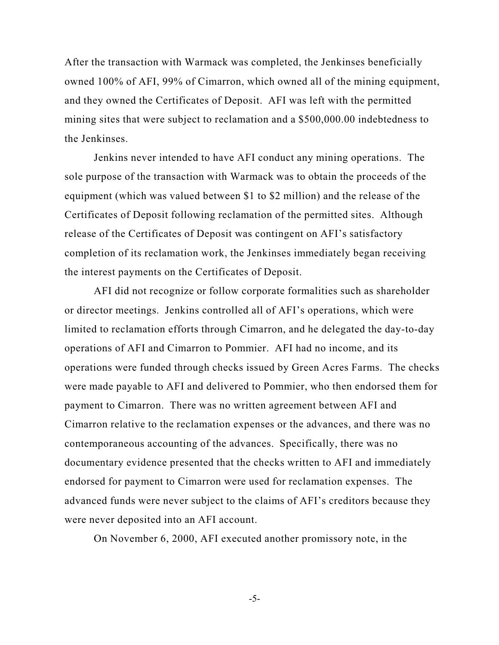After the transaction with Warmack was completed, the Jenkinses beneficially owned 100% of AFI, 99% of Cimarron, which owned all of the mining equipment, and they owned the Certificates of Deposit. AFI was left with the permitted mining sites that were subject to reclamation and a \$500,000.00 indebtedness to the Jenkinses.

Jenkins never intended to have AFI conduct any mining operations. The sole purpose of the transaction with Warmack was to obtain the proceeds of the equipment (which was valued between \$1 to \$2 million) and the release of the Certificates of Deposit following reclamation of the permitted sites. Although release of the Certificates of Deposit was contingent on AFI's satisfactory completion of its reclamation work, the Jenkinses immediately began receiving the interest payments on the Certificates of Deposit.

AFI did not recognize or follow corporate formalities such as shareholder or director meetings. Jenkins controlled all of AFI's operations, which were limited to reclamation efforts through Cimarron, and he delegated the day-to-day operations of AFI and Cimarron to Pommier. AFI had no income, and its operations were funded through checks issued by Green Acres Farms. The checks were made payable to AFI and delivered to Pommier, who then endorsed them for payment to Cimarron. There was no written agreement between AFI and Cimarron relative to the reclamation expenses or the advances, and there was no contemporaneous accounting of the advances. Specifically, there was no documentary evidence presented that the checks written to AFI and immediately endorsed for payment to Cimarron were used for reclamation expenses. The advanced funds were never subject to the claims of AFI's creditors because they were never deposited into an AFI account.

On November 6, 2000, AFI executed another promissory note, in the

-5-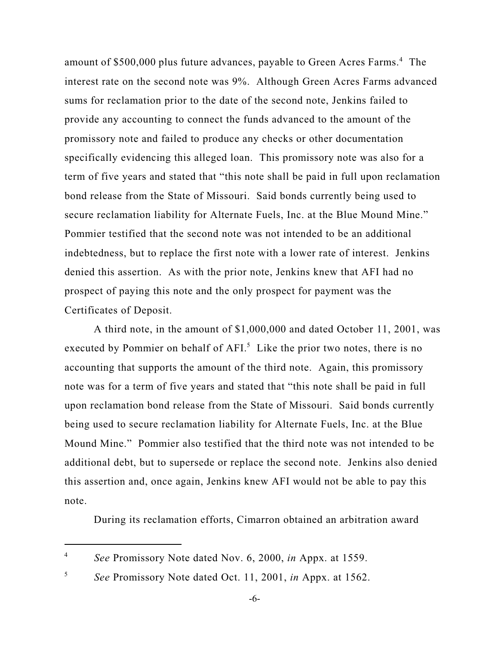amount of \$500,000 plus future advances, payable to Green Acres Farms.<sup>4</sup> The interest rate on the second note was 9%. Although Green Acres Farms advanced sums for reclamation prior to the date of the second note, Jenkins failed to provide any accounting to connect the funds advanced to the amount of the promissory note and failed to produce any checks or other documentation specifically evidencing this alleged loan. This promissory note was also for a term of five years and stated that "this note shall be paid in full upon reclamation bond release from the State of Missouri. Said bonds currently being used to secure reclamation liability for Alternate Fuels, Inc. at the Blue Mound Mine." Pommier testified that the second note was not intended to be an additional indebtedness, but to replace the first note with a lower rate of interest. Jenkins denied this assertion. As with the prior note, Jenkins knew that AFI had no prospect of paying this note and the only prospect for payment was the Certificates of Deposit.

A third note, in the amount of \$1,000,000 and dated October 11, 2001, was executed by Pommier on behalf of  $AFI<sup>5</sup>$ . Like the prior two notes, there is no accounting that supports the amount of the third note. Again, this promissory note was for a term of five years and stated that "this note shall be paid in full upon reclamation bond release from the State of Missouri. Said bonds currently being used to secure reclamation liability for Alternate Fuels, Inc. at the Blue Mound Mine." Pommier also testified that the third note was not intended to be additional debt, but to supersede or replace the second note. Jenkins also denied this assertion and, once again, Jenkins knew AFI would not be able to pay this note.

During its reclamation efforts, Cimarron obtained an arbitration award

*See* Promissory Note dated Nov. 6, 2000, *in* Appx. at 1559. 4

*See* Promissory Note dated Oct. 11, 2001, *in* Appx. at 1562. 5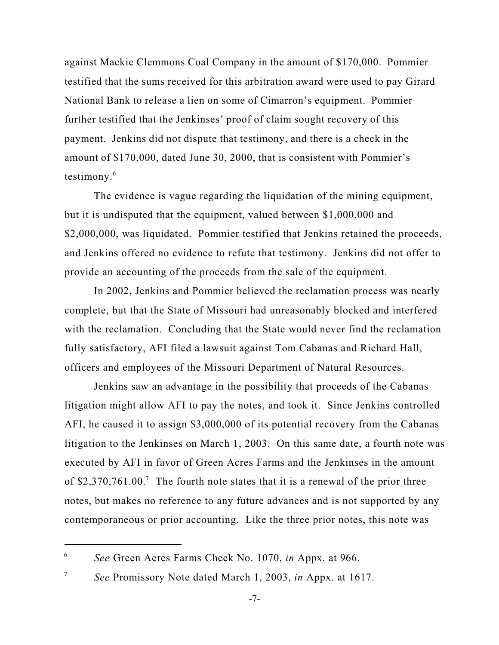against Mackie Clemmons Coal Company in the amount of \$170,000. Pommier testified that the sums received for this arbitration award were used to pay Girard National Bank to release a lien on some of Cimarron's equipment. Pommier further testified that the Jenkinses' proof of claim sought recovery of this payment. Jenkins did not dispute that testimony, and there is a check in the amount of \$170,000, dated June 30, 2000, that is consistent with Pommier's testimony. 6

The evidence is vague regarding the liquidation of the mining equipment, but it is undisputed that the equipment, valued between \$1,000,000 and \$2,000,000, was liquidated. Pommier testified that Jenkins retained the proceeds, and Jenkins offered no evidence to refute that testimony. Jenkins did not offer to provide an accounting of the proceeds from the sale of the equipment.

In 2002, Jenkins and Pommier believed the reclamation process was nearly complete, but that the State of Missouri had unreasonably blocked and interfered with the reclamation. Concluding that the State would never find the reclamation fully satisfactory, AFI filed a lawsuit against Tom Cabanas and Richard Hall, officers and employees of the Missouri Department of Natural Resources.

Jenkins saw an advantage in the possibility that proceeds of the Cabanas litigation might allow AFI to pay the notes, and took it. Since Jenkins controlled AFI, he caused it to assign \$3,000,000 of its potential recovery from the Cabanas litigation to the Jenkinses on March 1, 2003. On this same date, a fourth note was executed by AFI in favor of Green Acres Farms and the Jenkinses in the amount of \$2,370,761.00.<sup>7</sup> The fourth note states that it is a renewal of the prior three notes, but makes no reference to any future advances and is not supported by any contemporaneous or prior accounting. Like the three prior notes, this note was

*See* Green Acres Farms Check No. 1070, *in* Appx*.* at 966. 6

*See* Promissory Note dated March 1, 2003, *in* Appx. at 1617. 7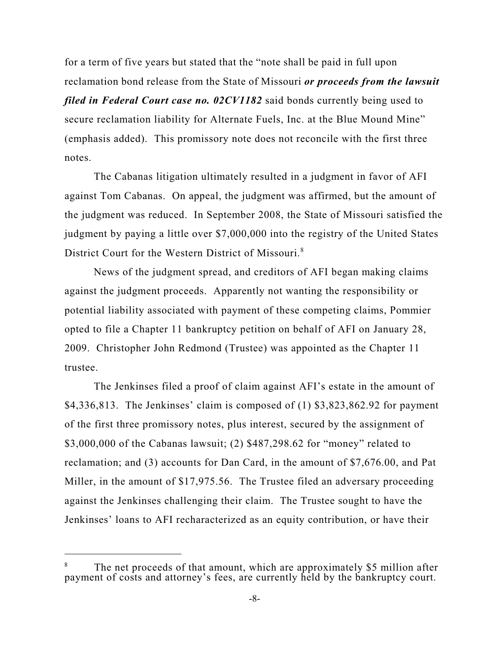for a term of five years but stated that the "note shall be paid in full upon reclamation bond release from the State of Missouri *or proceeds from the lawsuit filed in Federal Court case no. 02CV1182* said bonds currently being used to secure reclamation liability for Alternate Fuels, Inc. at the Blue Mound Mine" (emphasis added). This promissory note does not reconcile with the first three notes.

The Cabanas litigation ultimately resulted in a judgment in favor of AFI against Tom Cabanas. On appeal, the judgment was affirmed, but the amount of the judgment was reduced. In September 2008, the State of Missouri satisfied the judgment by paying a little over \$7,000,000 into the registry of the United States District Court for the Western District of Missouri. 8

News of the judgment spread, and creditors of AFI began making claims against the judgment proceeds. Apparently not wanting the responsibility or potential liability associated with payment of these competing claims, Pommier opted to file a Chapter 11 bankruptcy petition on behalf of AFI on January 28, 2009. Christopher John Redmond (Trustee) was appointed as the Chapter 11 trustee.

The Jenkinses filed a proof of claim against AFI's estate in the amount of \$4,336,813. The Jenkinses' claim is composed of (1) \$3,823,862.92 for payment of the first three promissory notes, plus interest, secured by the assignment of \$3,000,000 of the Cabanas lawsuit; (2) \$487,298.62 for "money" related to reclamation; and (3) accounts for Dan Card, in the amount of \$7,676.00, and Pat Miller, in the amount of \$17,975.56. The Trustee filed an adversary proceeding against the Jenkinses challenging their claim. The Trustee sought to have the Jenkinses' loans to AFI recharacterized as an equity contribution, or have their

<sup>&</sup>lt;sup>8</sup> The net proceeds of that amount, which are approximately \$5 million after payment of costs and attorney's fees, are currently held by the bankruptcy court.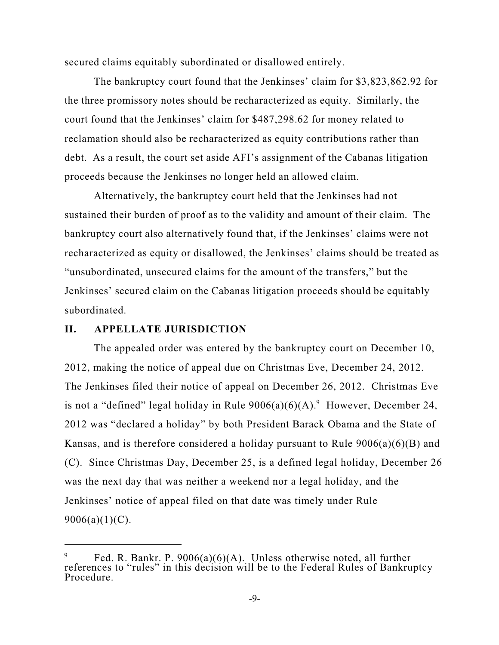secured claims equitably subordinated or disallowed entirely.

The bankruptcy court found that the Jenkinses' claim for \$3,823,862.92 for the three promissory notes should be recharacterized as equity. Similarly, the court found that the Jenkinses' claim for \$487,298.62 for money related to reclamation should also be recharacterized as equity contributions rather than debt. As a result, the court set aside AFI's assignment of the Cabanas litigation proceeds because the Jenkinses no longer held an allowed claim.

Alternatively, the bankruptcy court held that the Jenkinses had not sustained their burden of proof as to the validity and amount of their claim. The bankruptcy court also alternatively found that, if the Jenkinses' claims were not recharacterized as equity or disallowed, the Jenkinses' claims should be treated as "unsubordinated, unsecured claims for the amount of the transfers," but the Jenkinses' secured claim on the Cabanas litigation proceeds should be equitably subordinated.

## **II. APPELLATE JURISDICTION**

The appealed order was entered by the bankruptcy court on December 10, 2012, making the notice of appeal due on Christmas Eve, December 24, 2012. The Jenkinses filed their notice of appeal on December 26, 2012. Christmas Eve is not a "defined" legal holiday in Rule  $9006(a)(6)(A)$ . However, December 24, 2012 was "declared a holiday" by both President Barack Obama and the State of Kansas, and is therefore considered a holiday pursuant to Rule 9006(a)(6)(B) and (C). Since Christmas Day, December 25, is a defined legal holiday, December 26 was the next day that was neither a weekend nor a legal holiday, and the Jenkinses' notice of appeal filed on that date was timely under Rule  $9006(a)(1)(C)$ .

Fed. R. Bankr. P. 9006(a)(6)(A). Unless otherwise noted, all further 9 references to "rules" in this decision will be to the Federal Rules of Bankruptcy Procedure.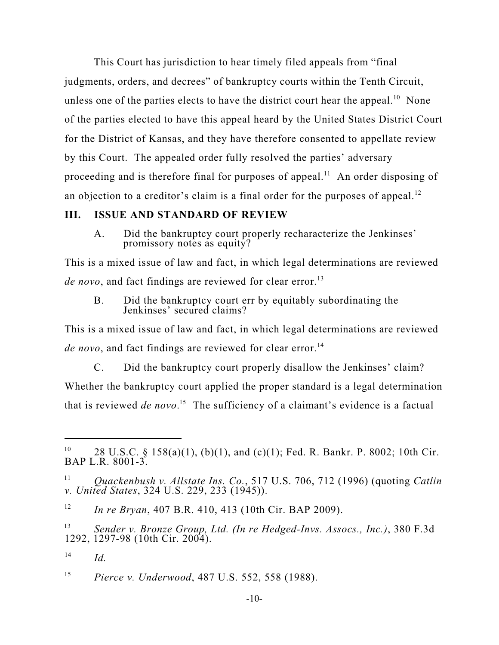This Court has jurisdiction to hear timely filed appeals from "final judgments, orders, and decrees" of bankruptcy courts within the Tenth Circuit, unless one of the parties elects to have the district court hear the appeal.<sup>10</sup> None of the parties elected to have this appeal heard by the United States District Court for the District of Kansas, and they have therefore consented to appellate review by this Court. The appealed order fully resolved the parties' adversary proceeding and is therefore final for purposes of appeal.<sup>11</sup> An order disposing of an objection to a creditor's claim is a final order for the purposes of appeal.<sup>12</sup>

#### **III. ISSUE AND STANDARD OF REVIEW**

A. Did the bankruptcy court properly recharacterize the Jenkinses' promissory notes as equity?

This is a mixed issue of law and fact, in which legal determinations are reviewed *de novo*, and fact findings are reviewed for clear error. 13

B. Did the bankruptcy court err by equitably subordinating the Jenkinses' secured claims?

This is a mixed issue of law and fact, in which legal determinations are reviewed *de novo*, and fact findings are reviewed for clear error. 14

C. Did the bankruptcy court properly disallow the Jenkinses' claim? Whether the bankruptcy court applied the proper standard is a legal determination that is reviewed *de novo*.<sup>15</sup> The sufficiency of a claimant's evidence is a factual

<sup>&</sup>lt;sup>10</sup> 28 U.S.C. § 158(a)(1), (b)(1), and (c)(1); Fed. R. Bankr. P. 8002; 10th Cir. BAP L.R. 8001-3.

*Quackenbush v. Allstate Ins. Co.*, 517 U.S. 706, 712 (1996) (quoting *Catlin* 11 *v. United States*, 324 U.S. 229, 233 (1945)).

*In re Bryan*, 407 B.R. 410, 413 (10th Cir. BAP 2009). 12

*Sender v. Bronze Group, Ltd. (In re Hedged-Invs. Assocs., Inc.)*, 380 F.3d 13 1292, 1297-98 (10th Cir. 2004).

*Id.* 14

*Pierce v. Underwood*, 487 U.S. 552, 558 (1988). 15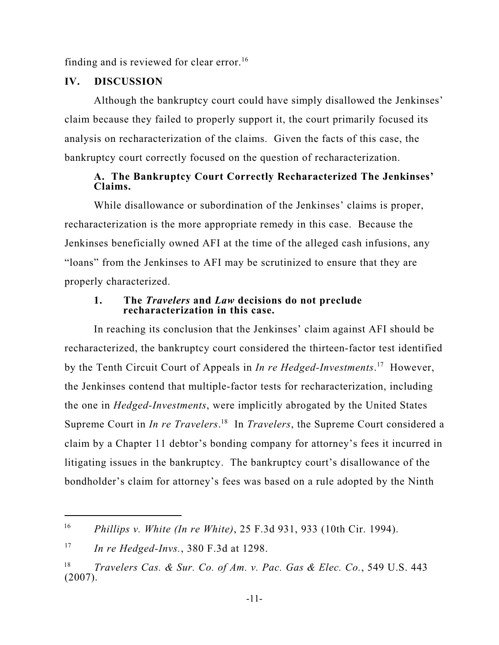finding and is reviewed for clear error.<sup>16</sup>

## **IV. DISCUSSION**

Although the bankruptcy court could have simply disallowed the Jenkinses' claim because they failed to properly support it, the court primarily focused its analysis on recharacterization of the claims. Given the facts of this case, the bankruptcy court correctly focused on the question of recharacterization.

## **A. The Bankruptcy Court Correctly Recharacterized The Jenkinses' Claims.**

While disallowance or subordination of the Jenkinses' claims is proper, recharacterization is the more appropriate remedy in this case. Because the Jenkinses beneficially owned AFI at the time of the alleged cash infusions, any "loans" from the Jenkinses to AFI may be scrutinized to ensure that they are properly characterized.

#### **1. The** *Travelers* **and** *Law* **decisions do not preclude recharacterization in this case.**

In reaching its conclusion that the Jenkinses' claim against AFI should be recharacterized, the bankruptcy court considered the thirteen-factor test identified by the Tenth Circuit Court of Appeals in *In re Hedged-Investments*.<sup>17</sup> However, the Jenkinses contend that multiple-factor tests for recharacterization, including the one in *Hedged-Investments*, were implicitly abrogated by the United States Supreme Court in *In re Travelers*.<sup>18</sup> In *Travelers*, the Supreme Court considered a claim by a Chapter 11 debtor's bonding company for attorney's fees it incurred in litigating issues in the bankruptcy. The bankruptcy court's disallowance of the bondholder's claim for attorney's fees was based on a rule adopted by the Ninth

*Phillips v. White (In re White)*, 25 F.3d 931, 933 (10th Cir. 1994). 16

*In re Hedged-Invs.*, 380 F.3d at 1298. 17

*Travelers Cas. & Sur. Co. of Am. v. Pac. Gas & Elec. Co.*, 549 U.S. 443 18 (2007).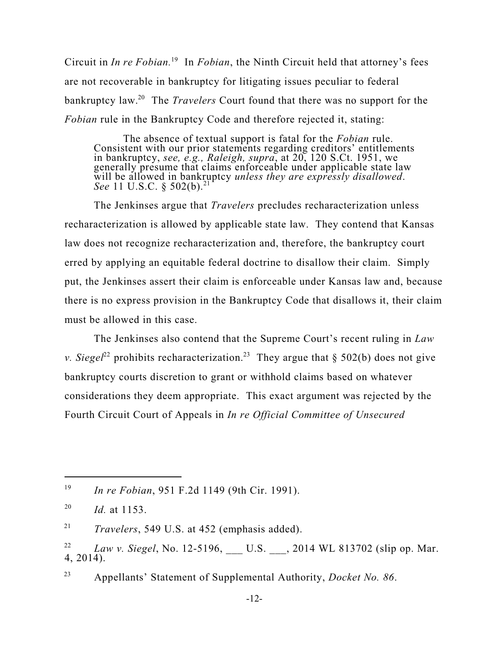Circuit in *In re Fobian*.<sup>19</sup> In *Fobian*, the Ninth Circuit held that attorney's fees are not recoverable in bankruptcy for litigating issues peculiar to federal bankruptcy law.<sup>20</sup> The *Travelers* Court found that there was no support for the *Fobian* rule in the Bankruptcy Code and therefore rejected it, stating:

The absence of textual support is fatal for the *Fobian* rule. Consistent with our prior statements regarding creditors' entitlements in bankruptcy, *see, e.g., Raleigh, supra*, at 20, 120 S.Ct. 1951, we generally presume that claims enforceable under applicable state law will be allowed in bankruptcy *unless they are expressly disallowed*. *See* 11 U.S.C. § 502(b). 21

The Jenkinses argue that *Travelers* precludes recharacterization unless recharacterization is allowed by applicable state law. They contend that Kansas law does not recognize recharacterization and, therefore, the bankruptcy court erred by applying an equitable federal doctrine to disallow their claim. Simply put, the Jenkinses assert their claim is enforceable under Kansas law and, because there is no express provision in the Bankruptcy Code that disallows it, their claim must be allowed in this case.

The Jenkinses also contend that the Supreme Court's recent ruling in *Law v. Siegel*<sup>22</sup> prohibits recharacterization.<sup>23</sup> They argue that § 502(b) does not give bankruptcy courts discretion to grant or withhold claims based on whatever considerations they deem appropriate. This exact argument was rejected by the Fourth Circuit Court of Appeals in *In re Official Committee of Unsecured*

*Travelers*, 549 U.S. at 452 (emphasis added). 21

Appellants' Statement of Supplemental Authority, *Docket No. 86*. 23

*In re Fobian*, 951 F.2d 1149 (9th Cir. 1991). 19

*Id.* at 1153. 20

*Law v. Siegel*, No. 12-5196, \_\_\_ U.S. \_\_\_, 2014 WL 813702 (slip op. Mar. 22 4, 2014).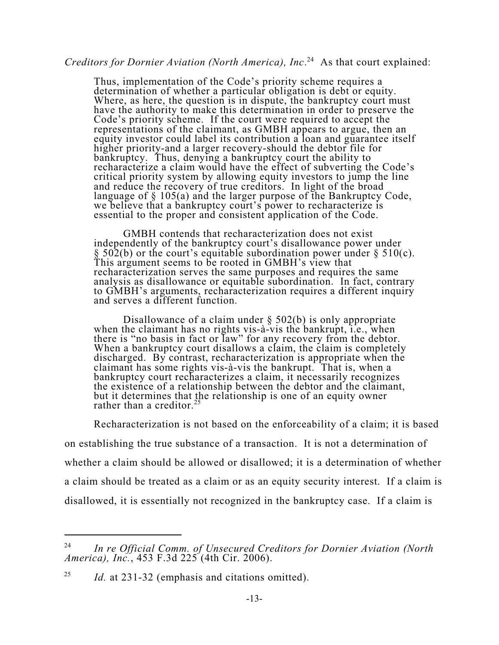# *Creditors for Dornier Aviation (North America), Inc.*<sup>24</sup> As that court explained:

Thus, implementation of the Code's priority scheme requires a determination of whether a particular obligation is debt or equity. Where, as here, the question is in dispute, the bankruptcy court must have the authority to make this determination in order to preserve the Code's priority scheme. If the court were required to accept the representations of the claimant, as GMBH appears to argue, then an equity investor could label its contribution a loan and guarantee itself higher priority-and a larger recovery-should the debtor file for bankruptcy. Thus, denying a bankruptcy court the ability to recharacterize a claim would have the effect of subverting the Code's critical priority system by allowing equity investors to jump the line and reduce the recovery of true creditors. In light of the broad language of § 105(a) and the larger purpose of the Bankruptcy Code, we believe that a bankruptcy court's power to recharacterize is essential to the proper and consistent application of the Code.

GMBH contends that recharacterization does not exist independently of the bankruptcy court's disallowance power under  $\S$  502(b) or the court's equitable subordination power under  $\S$  510(c). This argument seems to be rooted in GMBH's view that recharacterization serves the same purposes and requires the same analysis as disallowance or equitable subordination. In fact, contrary to GMBH's arguments, recharacterization requires a different inquiry and serves a different function.

Disallowance of a claim under § 502(b) is only appropriate when the claimant has no rights vis-à-vis the bankrupt, i.e., when there is "no basis in fact or law" for any recovery from the debtor. When a bankruptcy court disallows a claim, the claim is completely discharged. By contrast, recharacterization is appropriate when the claimant has some rights vis-à-vis the bankrupt. That is, when a bankruptcy court recharacterizes a claim, it necessarily recognizes the existence of a relationship between the debtor and the claimant, but it determines that the relationship is one of an equity owner rather than a creditor.<sup>25</sup>

Recharacterization is not based on the enforceability of a claim; it is based

on establishing the true substance of a transaction. It is not a determination of whether a claim should be allowed or disallowed; it is a determination of whether a claim should be treated as a claim or as an equity security interest. If a claim is disallowed, it is essentially not recognized in the bankruptcy case. If a claim is

*In re Official Comm. of Unsecured Creditors for Dornier Aviation (North*  $24$ *America), Inc.*, 453 F.3d 225 (4th Cir. 2006).

*Id.* at 231-32 (emphasis and citations omitted). 25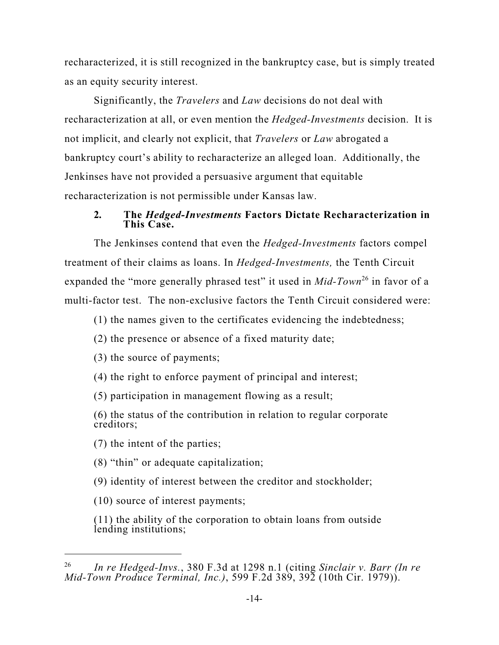recharacterized, it is still recognized in the bankruptcy case, but is simply treated as an equity security interest.

Significantly, the *Travelers* and *Law* decisions do not deal with recharacterization at all, or even mention the *Hedged-Investments* decision. It is not implicit, and clearly not explicit, that *Travelers* or *Law* abrogated a bankruptcy court's ability to recharacterize an alleged loan. Additionally, the Jenkinses have not provided a persuasive argument that equitable recharacterization is not permissible under Kansas law.

## **2***.* **The** *Hedged-Investments* **Factors Dictate Recharacterization in This Case.**

The Jenkinses contend that even the *Hedged-Investments* factors compel treatment of their claims as loans. In *Hedged-Investments,* the Tenth Circuit expanded the "more generally phrased test" it used in *Mid-Town*<sup>26</sup> in favor of a multi-factor test. The non-exclusive factors the Tenth Circuit considered were:

(1) the names given to the certificates evidencing the indebtedness;

(2) the presence or absence of a fixed maturity date;

(3) the source of payments;

(4) the right to enforce payment of principal and interest;

(5) participation in management flowing as a result;

(6) the status of the contribution in relation to regular corporate creditors;

(7) the intent of the parties;

(8) "thin" or adequate capitalization;

(9) identity of interest between the creditor and stockholder;

(10) source of interest payments;

(11) the ability of the corporation to obtain loans from outside lending institutions;

*In re Hedged-Invs.*, 380 F.3d at 1298 n.1 (citing *Sinclair v. Barr (In re* 26 *Mid-Town Produce Terminal, Inc.)*, 599 F.2d 389, 392 (10th Cir. 1979)).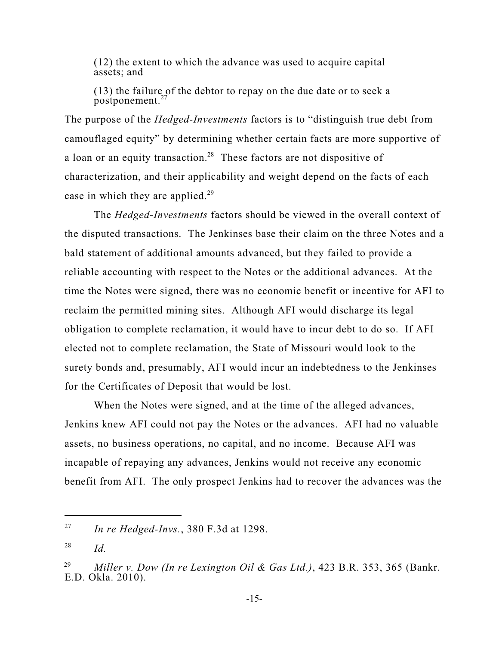(12) the extent to which the advance was used to acquire capital assets; and

(13) the failure of the debtor to repay on the due date or to seek a postponement. 27

The purpose of the *Hedged-Investments* factors is to "distinguish true debt from camouflaged equity" by determining whether certain facts are more supportive of a loan or an equity transaction.<sup>28</sup> These factors are not dispositive of characterization, and their applicability and weight depend on the facts of each case in which they are applied.<sup>29</sup>

The *Hedged-Investments* factors should be viewed in the overall context of the disputed transactions. The Jenkinses base their claim on the three Notes and a bald statement of additional amounts advanced, but they failed to provide a reliable accounting with respect to the Notes or the additional advances. At the time the Notes were signed, there was no economic benefit or incentive for AFI to reclaim the permitted mining sites. Although AFI would discharge its legal obligation to complete reclamation, it would have to incur debt to do so. If AFI elected not to complete reclamation, the State of Missouri would look to the surety bonds and, presumably, AFI would incur an indebtedness to the Jenkinses for the Certificates of Deposit that would be lost.

When the Notes were signed, and at the time of the alleged advances, Jenkins knew AFI could not pay the Notes or the advances. AFI had no valuable assets, no business operations, no capital, and no income. Because AFI was incapable of repaying any advances, Jenkins would not receive any economic benefit from AFI. The only prospect Jenkins had to recover the advances was the

*In re Hedged-Invs.*, 380 F.3d at 1298. 27

*Id.* 28

*Miller v. Dow (In re Lexington Oil & Gas Ltd.)*, 423 B.R. 353, 365 (Bankr. 29 E.D. Okla. 2010).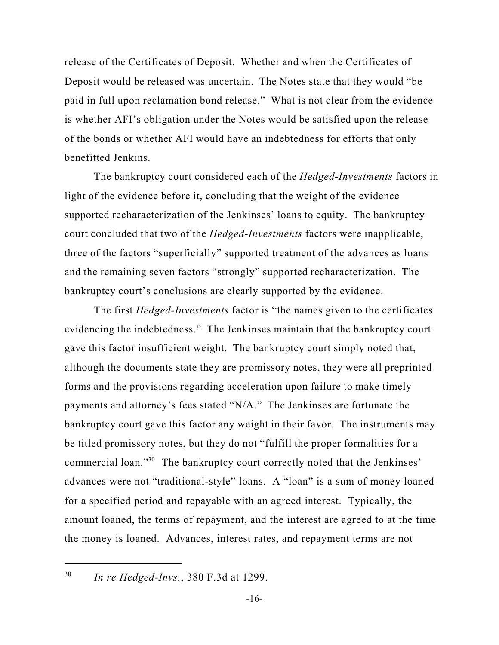release of the Certificates of Deposit. Whether and when the Certificates of Deposit would be released was uncertain. The Notes state that they would "be paid in full upon reclamation bond release." What is not clear from the evidence is whether AFI's obligation under the Notes would be satisfied upon the release of the bonds or whether AFI would have an indebtedness for efforts that only benefitted Jenkins.

The bankruptcy court considered each of the *Hedged-Investments* factors in light of the evidence before it, concluding that the weight of the evidence supported recharacterization of the Jenkinses' loans to equity. The bankruptcy court concluded that two of the *Hedged-Investments* factors were inapplicable, three of the factors "superficially" supported treatment of the advances as loans and the remaining seven factors "strongly" supported recharacterization. The bankruptcy court's conclusions are clearly supported by the evidence.

The first *Hedged-Investments* factor is "the names given to the certificates evidencing the indebtedness." The Jenkinses maintain that the bankruptcy court gave this factor insufficient weight. The bankruptcy court simply noted that, although the documents state they are promissory notes, they were all preprinted forms and the provisions regarding acceleration upon failure to make timely payments and attorney's fees stated "N/A." The Jenkinses are fortunate the bankruptcy court gave this factor any weight in their favor. The instruments may be titled promissory notes, but they do not "fulfill the proper formalities for a commercial loan."<sup>30</sup> The bankruptcy court correctly noted that the Jenkinses' advances were not "traditional-style" loans. A "loan" is a sum of money loaned for a specified period and repayable with an agreed interest. Typically, the amount loaned, the terms of repayment, and the interest are agreed to at the time the money is loaned. Advances, interest rates, and repayment terms are not

*In re Hedged-Invs.*, 380 F.3d at 1299. 30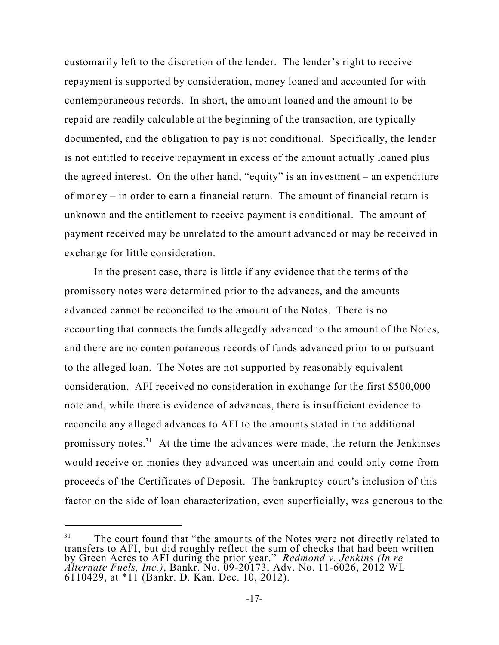customarily left to the discretion of the lender. The lender's right to receive repayment is supported by consideration, money loaned and accounted for with contemporaneous records. In short, the amount loaned and the amount to be repaid are readily calculable at the beginning of the transaction, are typically documented, and the obligation to pay is not conditional. Specifically, the lender is not entitled to receive repayment in excess of the amount actually loaned plus the agreed interest. On the other hand, "equity" is an investment – an expenditure of money – in order to earn a financial return. The amount of financial return is unknown and the entitlement to receive payment is conditional. The amount of payment received may be unrelated to the amount advanced or may be received in exchange for little consideration.

In the present case, there is little if any evidence that the terms of the promissory notes were determined prior to the advances, and the amounts advanced cannot be reconciled to the amount of the Notes. There is no accounting that connects the funds allegedly advanced to the amount of the Notes, and there are no contemporaneous records of funds advanced prior to or pursuant to the alleged loan. The Notes are not supported by reasonably equivalent consideration. AFI received no consideration in exchange for the first \$500,000 note and, while there is evidence of advances, there is insufficient evidence to reconcile any alleged advances to AFI to the amounts stated in the additional promissory notes.<sup>31</sup> At the time the advances were made, the return the Jenkinses would receive on monies they advanced was uncertain and could only come from proceeds of the Certificates of Deposit. The bankruptcy court's inclusion of this factor on the side of loan characterization, even superficially, was generous to the

<sup>&</sup>lt;sup>31</sup> The court found that "the amounts of the Notes were not directly related to transfers to AFI, but did roughly reflect the sum of checks that had been written by Green Acres to AFI during the prior year." *Redmond v. Jenkins (In re Alternate Fuels, Inc.)*, Bankr. No. 09-20173, Adv. No. 11-6026, 2012 WL 6110429, at \*11 (Bankr. D. Kan. Dec. 10, 2012).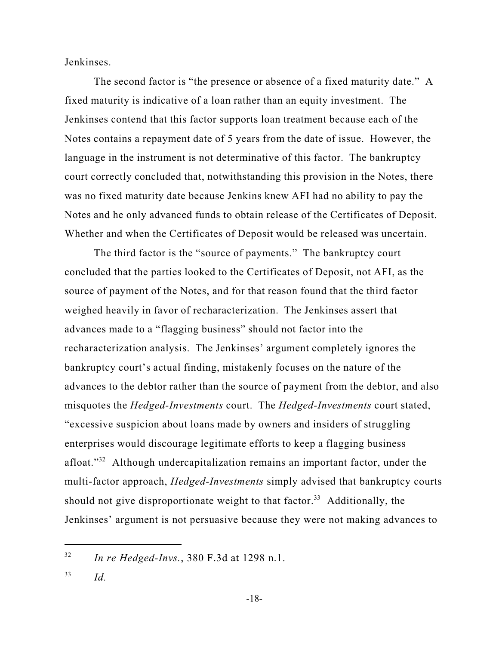Jenkinses.

The second factor is "the presence or absence of a fixed maturity date." A fixed maturity is indicative of a loan rather than an equity investment. The Jenkinses contend that this factor supports loan treatment because each of the Notes contains a repayment date of 5 years from the date of issue. However, the language in the instrument is not determinative of this factor. The bankruptcy court correctly concluded that, notwithstanding this provision in the Notes, there was no fixed maturity date because Jenkins knew AFI had no ability to pay the Notes and he only advanced funds to obtain release of the Certificates of Deposit. Whether and when the Certificates of Deposit would be released was uncertain.

The third factor is the "source of payments." The bankruptcy court concluded that the parties looked to the Certificates of Deposit, not AFI, as the source of payment of the Notes, and for that reason found that the third factor weighed heavily in favor of recharacterization. The Jenkinses assert that advances made to a "flagging business" should not factor into the recharacterization analysis. The Jenkinses' argument completely ignores the bankruptcy court's actual finding, mistakenly focuses on the nature of the advances to the debtor rather than the source of payment from the debtor, and also misquotes the *Hedged-Investments* court. The *Hedged-Investments* court stated, "excessive suspicion about loans made by owners and insiders of struggling enterprises would discourage legitimate efforts to keep a flagging business afloat."<sup>32</sup> Although undercapitalization remains an important factor, under the multi-factor approach, *Hedged-Investments* simply advised that bankruptcy courts should not give disproportionate weight to that factor.<sup>33</sup> Additionally, the Jenkinses' argument is not persuasive because they were not making advances to

*In re Hedged-Invs.*, 380 F.3d at 1298 n.1. 32

*Id.* 33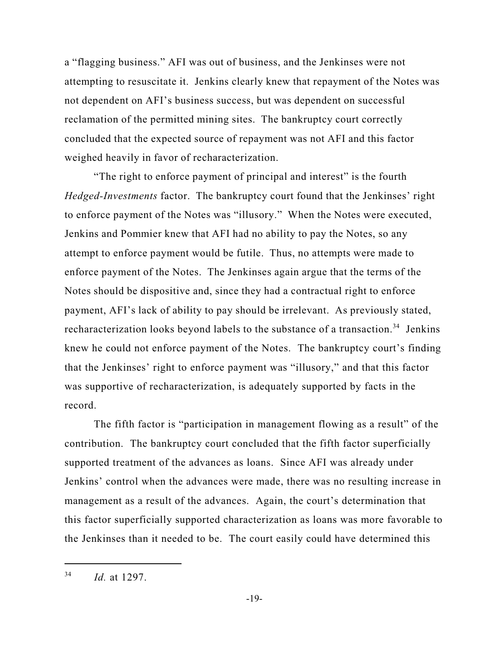a "flagging business." AFI was out of business, and the Jenkinses were not attempting to resuscitate it. Jenkins clearly knew that repayment of the Notes was not dependent on AFI's business success, but was dependent on successful reclamation of the permitted mining sites. The bankruptcy court correctly concluded that the expected source of repayment was not AFI and this factor weighed heavily in favor of recharacterization.

"The right to enforce payment of principal and interest" is the fourth *Hedged-Investments* factor. The bankruptcy court found that the Jenkinses' right to enforce payment of the Notes was "illusory." When the Notes were executed, Jenkins and Pommier knew that AFI had no ability to pay the Notes, so any attempt to enforce payment would be futile. Thus, no attempts were made to enforce payment of the Notes. The Jenkinses again argue that the terms of the Notes should be dispositive and, since they had a contractual right to enforce payment, AFI's lack of ability to pay should be irrelevant. As previously stated, recharacterization looks beyond labels to the substance of a transaction.<sup>34</sup> Jenkins knew he could not enforce payment of the Notes. The bankruptcy court's finding that the Jenkinses' right to enforce payment was "illusory," and that this factor was supportive of recharacterization, is adequately supported by facts in the record.

The fifth factor is "participation in management flowing as a result" of the contribution. The bankruptcy court concluded that the fifth factor superficially supported treatment of the advances as loans. Since AFI was already under Jenkins' control when the advances were made, there was no resulting increase in management as a result of the advances. Again, the court's determination that this factor superficially supported characterization as loans was more favorable to the Jenkinses than it needed to be. The court easily could have determined this

*Id.* at 1297. 34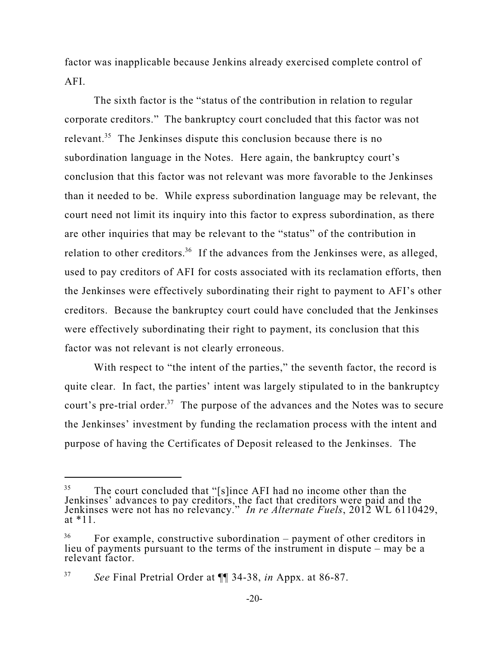factor was inapplicable because Jenkins already exercised complete control of AFI.

The sixth factor is the "status of the contribution in relation to regular corporate creditors." The bankruptcy court concluded that this factor was not relevant.<sup>35</sup> The Jenkinses dispute this conclusion because there is no subordination language in the Notes. Here again, the bankruptcy court's conclusion that this factor was not relevant was more favorable to the Jenkinses than it needed to be. While express subordination language may be relevant, the court need not limit its inquiry into this factor to express subordination, as there are other inquiries that may be relevant to the "status" of the contribution in relation to other creditors.<sup>36</sup> If the advances from the Jenkinses were, as alleged, used to pay creditors of AFI for costs associated with its reclamation efforts, then the Jenkinses were effectively subordinating their right to payment to AFI's other creditors. Because the bankruptcy court could have concluded that the Jenkinses were effectively subordinating their right to payment, its conclusion that this factor was not relevant is not clearly erroneous.

With respect to "the intent of the parties," the seventh factor, the record is quite clear. In fact, the parties' intent was largely stipulated to in the bankruptcy court's pre-trial order.<sup>37</sup> The purpose of the advances and the Notes was to secure the Jenkinses' investment by funding the reclamation process with the intent and purpose of having the Certificates of Deposit released to the Jenkinses. The

<sup>&</sup>lt;sup>35</sup> The court concluded that "[s]ince AFI had no income other than the Jenkinses' advances to pay creditors, the fact that creditors were paid and the Jenkinses were not has no relevancy." *In re Alternate Fuels*, 2012 WL 6110429, at \*11.

 $^{36}$  For example, constructive subordination – payment of other creditors in lieu of payments pursuant to the terms of the instrument in dispute – may be a relevant factor.

*See* Final Pretrial Order at ¶¶ 34-38, *in* Appx. at 86-87. 37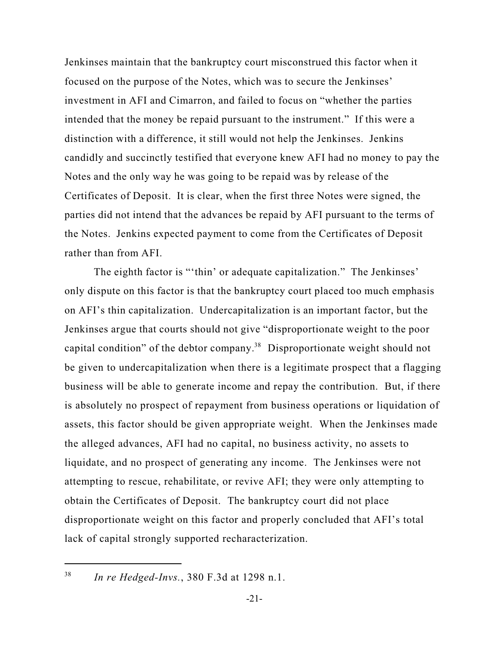Jenkinses maintain that the bankruptcy court misconstrued this factor when it focused on the purpose of the Notes, which was to secure the Jenkinses' investment in AFI and Cimarron, and failed to focus on "whether the parties intended that the money be repaid pursuant to the instrument." If this were a distinction with a difference, it still would not help the Jenkinses. Jenkins candidly and succinctly testified that everyone knew AFI had no money to pay the Notes and the only way he was going to be repaid was by release of the Certificates of Deposit. It is clear, when the first three Notes were signed, the parties did not intend that the advances be repaid by AFI pursuant to the terms of the Notes. Jenkins expected payment to come from the Certificates of Deposit rather than from AFI.

The eighth factor is "'thin' or adequate capitalization." The Jenkinses' only dispute on this factor is that the bankruptcy court placed too much emphasis on AFI's thin capitalization. Undercapitalization is an important factor, but the Jenkinses argue that courts should not give "disproportionate weight to the poor capital condition" of the debtor company.<sup>38</sup> Disproportionate weight should not be given to undercapitalization when there is a legitimate prospect that a flagging business will be able to generate income and repay the contribution. But, if there is absolutely no prospect of repayment from business operations or liquidation of assets, this factor should be given appropriate weight. When the Jenkinses made the alleged advances, AFI had no capital, no business activity, no assets to liquidate, and no prospect of generating any income. The Jenkinses were not attempting to rescue, rehabilitate, or revive AFI; they were only attempting to obtain the Certificates of Deposit. The bankruptcy court did not place disproportionate weight on this factor and properly concluded that AFI's total lack of capital strongly supported recharacterization.

*In re Hedged-Invs.*, 380 F.3d at 1298 n.1. 38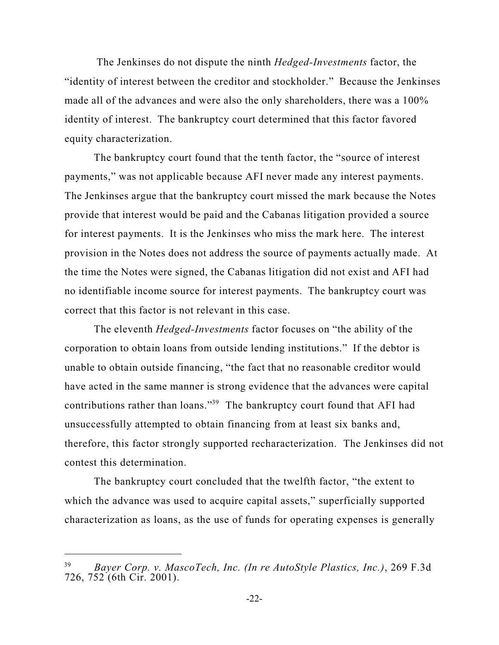The Jenkinses do not dispute the ninth *Hedged-Investments* factor, the "identity of interest between the creditor and stockholder." Because the Jenkinses made all of the advances and were also the only shareholders, there was a 100% identity of interest. The bankruptcy court determined that this factor favored equity characterization.

The bankruptcy court found that the tenth factor, the "source of interest payments," was not applicable because AFI never made any interest payments. The Jenkinses argue that the bankruptcy court missed the mark because the Notes provide that interest would be paid and the Cabanas litigation provided a source for interest payments. It is the Jenkinses who miss the mark here. The interest provision in the Notes does not address the source of payments actually made. At the time the Notes were signed, the Cabanas litigation did not exist and AFI had no identifiable income source for interest payments. The bankruptcy court was correct that this factor is not relevant in this case.

The eleventh *Hedged-Investments* factor focuses on "the ability of the corporation to obtain loans from outside lending institutions." If the debtor is unable to obtain outside financing, "the fact that no reasonable creditor would have acted in the same manner is strong evidence that the advances were capital contributions rather than loans."<sup>39</sup> The bankruptcy court found that AFI had unsuccessfully attempted to obtain financing from at least six banks and, therefore, this factor strongly supported recharacterization. The Jenkinses did not contest this determination.

The bankruptcy court concluded that the twelfth factor, "the extent to which the advance was used to acquire capital assets," superficially supported characterization as loans, as the use of funds for operating expenses is generally

*Bayer Corp. v. MascoTech, Inc. (In re AutoStyle Plastics, Inc.)*, 269 F.3d 39 726, 752 (6th Cir. 2001).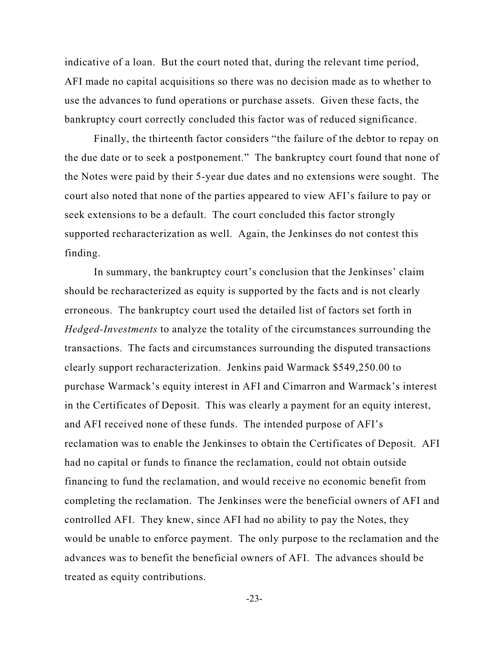indicative of a loan. But the court noted that, during the relevant time period, AFI made no capital acquisitions so there was no decision made as to whether to use the advances to fund operations or purchase assets. Given these facts, the bankruptcy court correctly concluded this factor was of reduced significance.

Finally, the thirteenth factor considers "the failure of the debtor to repay on the due date or to seek a postponement." The bankruptcy court found that none of the Notes were paid by their 5-year due dates and no extensions were sought. The court also noted that none of the parties appeared to view AFI's failure to pay or seek extensions to be a default. The court concluded this factor strongly supported recharacterization as well. Again, the Jenkinses do not contest this finding.

In summary, the bankruptcy court's conclusion that the Jenkinses' claim should be recharacterized as equity is supported by the facts and is not clearly erroneous. The bankruptcy court used the detailed list of factors set forth in *Hedged-Investments* to analyze the totality of the circumstances surrounding the transactions. The facts and circumstances surrounding the disputed transactions clearly support recharacterization. Jenkins paid Warmack \$549,250.00 to purchase Warmack's equity interest in AFI and Cimarron and Warmack's interest in the Certificates of Deposit. This was clearly a payment for an equity interest, and AFI received none of these funds. The intended purpose of AFI's reclamation was to enable the Jenkinses to obtain the Certificates of Deposit. AFI had no capital or funds to finance the reclamation, could not obtain outside financing to fund the reclamation, and would receive no economic benefit from completing the reclamation. The Jenkinses were the beneficial owners of AFI and controlled AFI. They knew, since AFI had no ability to pay the Notes, they would be unable to enforce payment. The only purpose to the reclamation and the advances was to benefit the beneficial owners of AFI. The advances should be treated as equity contributions.

-23-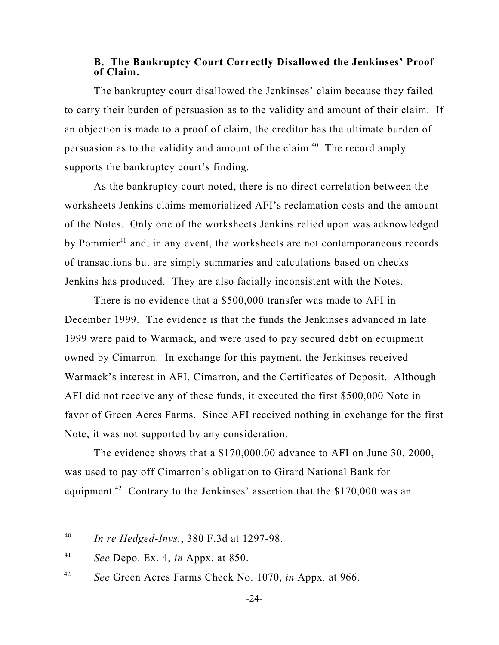#### **B. The Bankruptcy Court Correctly Disallowed the Jenkinses' Proof of Claim.**

The bankruptcy court disallowed the Jenkinses' claim because they failed to carry their burden of persuasion as to the validity and amount of their claim. If an objection is made to a proof of claim, the creditor has the ultimate burden of persuasion as to the validity and amount of the claim.<sup>40</sup> The record amply supports the bankruptcy court's finding.

As the bankruptcy court noted, there is no direct correlation between the worksheets Jenkins claims memorialized AFI's reclamation costs and the amount of the Notes. Only one of the worksheets Jenkins relied upon was acknowledged by Pommier<sup>41</sup> and, in any event, the worksheets are not contemporaneous records of transactions but are simply summaries and calculations based on checks Jenkins has produced. They are also facially inconsistent with the Notes.

There is no evidence that a \$500,000 transfer was made to AFI in December 1999. The evidence is that the funds the Jenkinses advanced in late 1999 were paid to Warmack, and were used to pay secured debt on equipment owned by Cimarron. In exchange for this payment, the Jenkinses received Warmack's interest in AFI, Cimarron, and the Certificates of Deposit. Although AFI did not receive any of these funds, it executed the first \$500,000 Note in favor of Green Acres Farms. Since AFI received nothing in exchange for the first Note, it was not supported by any consideration.

The evidence shows that a \$170,000.00 advance to AFI on June 30, 2000, was used to pay off Cimarron's obligation to Girard National Bank for equipment.<sup>42</sup> Contrary to the Jenkinses' assertion that the \$170,000 was an

*In re Hedged-Invs.*, 380 F.3d at 1297-98. 40

*See* Depo. Ex. 4, *in* Appx. at 850. 41

*See* Green Acres Farms Check No. 1070, *in* Appx*.* at 966. 42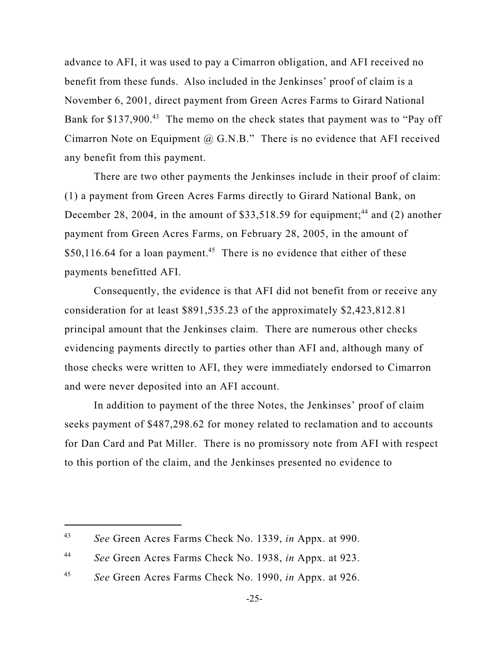advance to AFI, it was used to pay a Cimarron obligation, and AFI received no benefit from these funds. Also included in the Jenkinses' proof of claim is a November 6, 2001, direct payment from Green Acres Farms to Girard National Bank for \$137,900.<sup>43</sup> The memo on the check states that payment was to "Pay off Cimarron Note on Equipment  $(a)$  G.N.B." There is no evidence that AFI received any benefit from this payment.

There are two other payments the Jenkinses include in their proof of claim: (1) a payment from Green Acres Farms directly to Girard National Bank, on December 28, 2004, in the amount of \$33,518.59 for equipment;<sup>44</sup> and (2) another payment from Green Acres Farms, on February 28, 2005, in the amount of  $$50,116.64$  for a loan payment.<sup>45</sup> There is no evidence that either of these payments benefitted AFI.

Consequently, the evidence is that AFI did not benefit from or receive any consideration for at least \$891,535.23 of the approximately \$2,423,812.81 principal amount that the Jenkinses claim. There are numerous other checks evidencing payments directly to parties other than AFI and, although many of those checks were written to AFI, they were immediately endorsed to Cimarron and were never deposited into an AFI account.

In addition to payment of the three Notes, the Jenkinses' proof of claim seeks payment of \$487,298.62 for money related to reclamation and to accounts for Dan Card and Pat Miller. There is no promissory note from AFI with respect to this portion of the claim, and the Jenkinses presented no evidence to

*See* Green Acres Farms Check No. 1339, *in* Appx. at 990. 43

*See* Green Acres Farms Check No. 1938, *in* Appx. at 923. 44

*See* Green Acres Farms Check No. 1990, *in* Appx. at 926. 45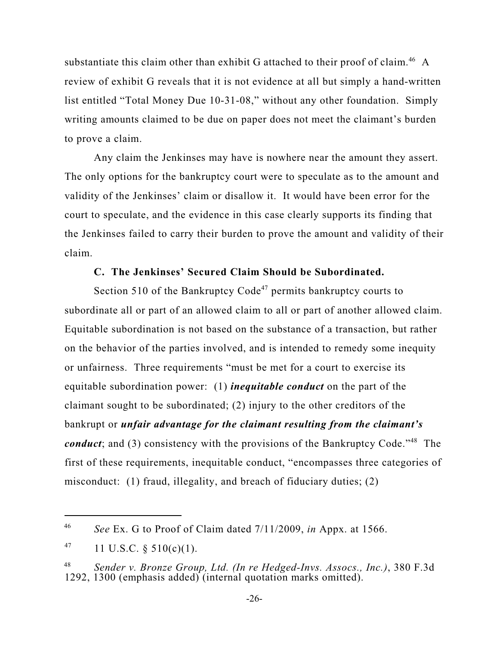substantiate this claim other than exhibit G attached to their proof of claim.<sup>46</sup> A review of exhibit G reveals that it is not evidence at all but simply a hand-written list entitled "Total Money Due 10-31-08," without any other foundation. Simply writing amounts claimed to be due on paper does not meet the claimant's burden to prove a claim.

Any claim the Jenkinses may have is nowhere near the amount they assert. The only options for the bankruptcy court were to speculate as to the amount and validity of the Jenkinses' claim or disallow it. It would have been error for the court to speculate, and the evidence in this case clearly supports its finding that the Jenkinses failed to carry their burden to prove the amount and validity of their claim.

## **C. The Jenkinses' Secured Claim Should be Subordinated.**

Section 510 of the Bankruptcy Code<sup>47</sup> permits bankruptcy courts to subordinate all or part of an allowed claim to all or part of another allowed claim. Equitable subordination is not based on the substance of a transaction, but rather on the behavior of the parties involved, and is intended to remedy some inequity or unfairness. Three requirements "must be met for a court to exercise its equitable subordination power: (1) *inequitable conduct* on the part of the claimant sought to be subordinated; (2) injury to the other creditors of the bankrupt or *unfair advantage for the claimant resulting from the claimant's conduct*; and (3) consistency with the provisions of the Bankruptcy Code."<sup>48</sup> The first of these requirements, inequitable conduct, "encompasses three categories of misconduct: (1) fraud, illegality, and breach of fiduciary duties; (2)

*See* Ex. G to Proof of Claim dated 7/11/2009, *in* Appx. at 1566. 46

<sup>11</sup> U.S.C. § 510(c)(1). 47

*Sender v. Bronze Group, Ltd. (In re Hedged-Invs. Assocs., Inc.)*, 380 F.3d 48 1292, 1300 (emphasis added) (internal quotation marks omitted).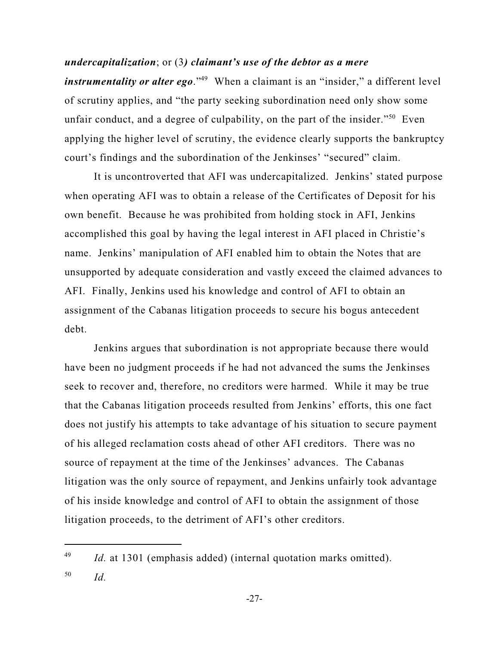*undercapitalization*; or (3*) claimant's use of the debtor as a mere instrumentality or alter ego*."<sup>49</sup> When a claimant is an "insider," a different level of scrutiny applies, and "the party seeking subordination need only show some unfair conduct, and a degree of culpability, on the part of the insider."<sup>50</sup> Even applying the higher level of scrutiny, the evidence clearly supports the bankruptcy court's findings and the subordination of the Jenkinses' "secured" claim.

It is uncontroverted that AFI was undercapitalized. Jenkins' stated purpose when operating AFI was to obtain a release of the Certificates of Deposit for his own benefit. Because he was prohibited from holding stock in AFI, Jenkins accomplished this goal by having the legal interest in AFI placed in Christie's name. Jenkins' manipulation of AFI enabled him to obtain the Notes that are unsupported by adequate consideration and vastly exceed the claimed advances to AFI. Finally, Jenkins used his knowledge and control of AFI to obtain an assignment of the Cabanas litigation proceeds to secure his bogus antecedent debt.

Jenkins argues that subordination is not appropriate because there would have been no judgment proceeds if he had not advanced the sums the Jenkinses seek to recover and, therefore, no creditors were harmed. While it may be true that the Cabanas litigation proceeds resulted from Jenkins' efforts, this one fact does not justify his attempts to take advantage of his situation to secure payment of his alleged reclamation costs ahead of other AFI creditors. There was no source of repayment at the time of the Jenkinses' advances. The Cabanas litigation was the only source of repayment, and Jenkins unfairly took advantage of his inside knowledge and control of AFI to obtain the assignment of those litigation proceeds, to the detriment of AFI's other creditors.

*Id.* at 1301 (emphasis added) (internal quotation marks omitted). 49 *Id.* 50